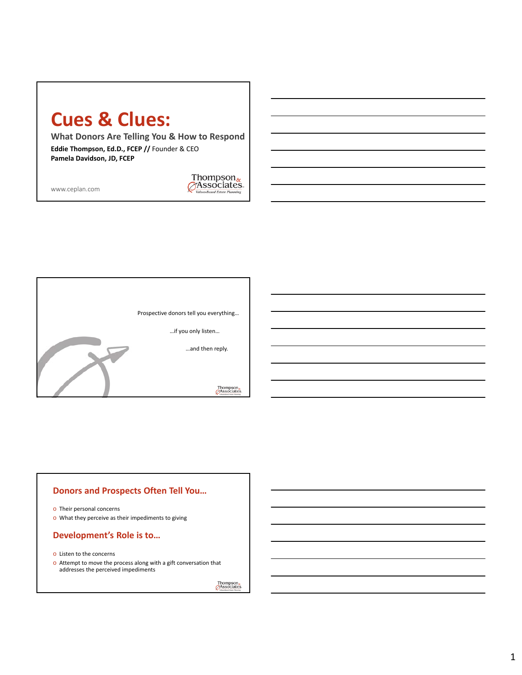## **Cues & Clues:**

**What Donors Are Telling You & How to Respond**

**Eddie Thompson, Ed.D., FCEP //** Founder & CEO **Pamela Davidson, JD, FCEP**

www.ceplan.com





## **Donors and Prospects Often Tell You…**

o Their personal concerns

o What they perceive as their impediments to giving

#### **Development's Role is to…**

- o Listen to the concerns
- o Attempt to move the process along with a gift conversation that addresses the perceived impediments

Thompson<sub>&</sub><br>Associates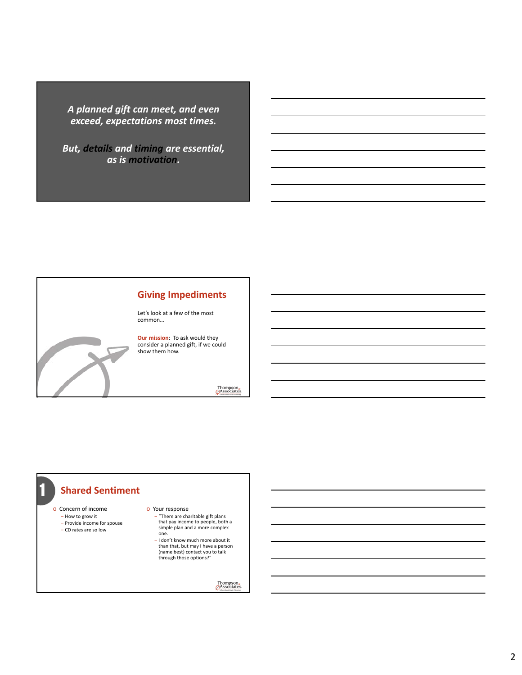*A planned gift can meet, and even exceed, expectations most times.*

*But, details and timing are essential, as is motivation.*



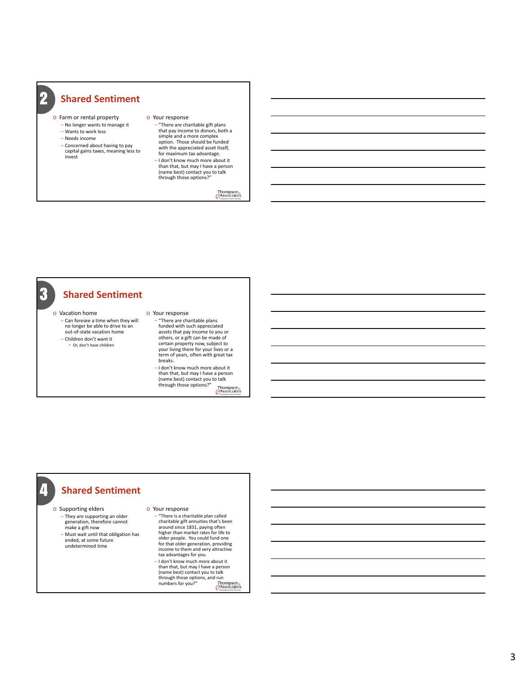- o Farm or rental property
	- No longer wants to manage it ‒ Wants to work less
	- ‒ Needs income

2

- 
- ‒ Concerned about having to pay capital gains taxes, meaning less to invest
- o Your response ‒ "There are charitable gift plans
	- that pay income to donors, both a simple and a more complex option. Those should be funded with the appreciated asset itself, for maximum tax advantage. - I don't know much more about it
	- than that, but may I have a person (name best) contact you to talk through those options?"

Thompson<sub>s</sub>



out-of-state vacation home ‒ Children don't want it

• Or, don't have children

‒ "There are charitable plans funded with such appreciated assets that pay income to you or others, or a gift can be made of certain property now, subject to your living there for your lives or a term of years, often with great tax breaks.

‒ I don't know much more about it than that, but may I have a person (name best) contact you to talk<br>through those options?" Thon Thompson<br>Associates

## **Shared Sentiment**

 $\boldsymbol{\varLambda}$ 

o Supporting elders ‒ They are supporting an older generation, therefore cannot make a gift now

‒ Must wait until that obligation has ended, at some future undetermined time

#### o Your response

‒ "There is a charitable plan called charitable gift annuities that's been around since 1831, paying often higher than market rates for life to older people. You could fund one for that older generation, providing income to them and very attractive tax advantages for you. ‒ I don't know much more about it than that, but may I have a person (name best) contact you to talk through those options, and run numbers for you?"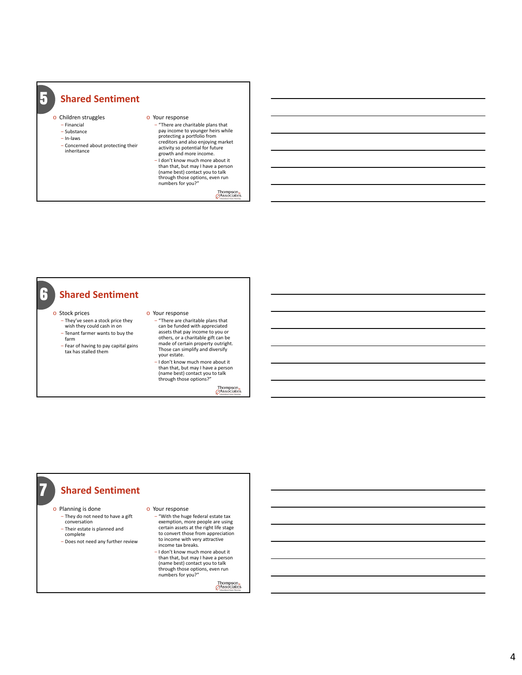## o Children struggles

5

- ‒ Financial ‒ Substance ‒ In-laws
- 
- ‒ Concerned about protecting their inheritance

#### o Your response ‒ "There are charitable plans that

- pay income to younger heirs while protecting a portfolio from creditors and also enjoying market activity so potential for future growth and more income. ‒ I don't know much more about it
- than that, but may I have a person (name best) contact you to talk through those options, even run

numbers for you?"

Thompson<sub>s</sub>

### **Shared Sentiment** o Stock prices 6

- ‒ They've seen a stock price they wish they could cash in on ‒ Tenant farmer wants to buy the
- farm ‒ Fear of having to pay capital gains tax has stalled them

#### o Your response

- ‒ "There are charitable plans that can be funded with appreciated assets that pay income to you or others, or a charitable gift can be made of certain property outright. Those can simplify and diversify your estate.
- ‒ I don't know much more about it than that, but may I have a person (name best) contact you to talk through those options?"

Thompson.<br>Associates

## **Shared Sentiment**

- o Planning is done
	- ‒ They do not need to have a gift conversation
	- ‒ Their estate is planned and
	- complete

7

‒ Does not need any further review

#### o Your response

- ‒ "With the huge federal estate tax exemption, more people are using certain assets at the right life stage to convert those from appreciation to income with very attractive income tax breaks.
- ‒ I don't know much more about it than that, but may I have a person (name best) contact you to talk through those options, even run numbers for you?"

Thompson<sub>&</sub>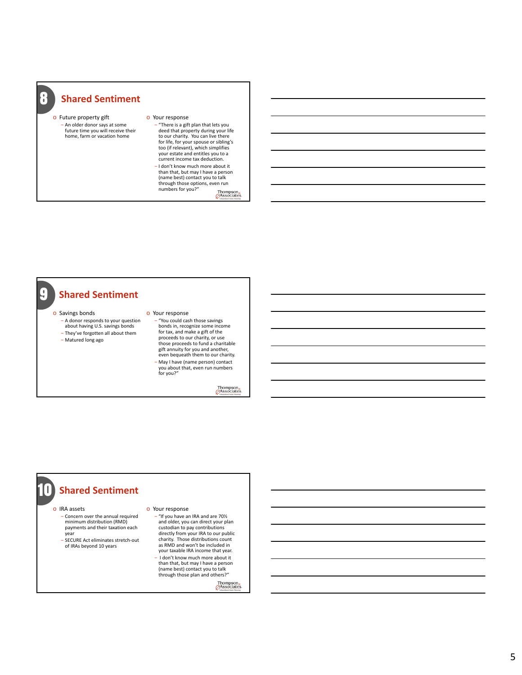8

o Future property gift ‒ An older donor says at some future time you will receive their home, farm or vacation home

#### o Your response

‒ "There is a gift plan that lets you deed that property during your life to our charity. You can live there for life, for your spouse or sibling's too (if relevant), which simplifies your estate and entitles you to a current income tax deduction. ‒ I don't know much more about it than that, but may I have a person (name best) contact you to talk through those options, even run<br>numbers for you?"

Thompson.<br>Associates

#### **Shared Sentiment** 9

#### o Savings bonds

- ‒ A donor responds to your question about having U.S. savings bonds ‒ They've forgotten all about them
- ‒ Matured long ago

#### o Your response

‒ "You could cash those savings bonds in, recognize some income for tax, and make a gift of the proceeds to our charity, or use those proceeds to fund a charitable gift annuity for you and another, even bequeath them to our charity. ‒ May I have (name person) contact you about that, even run numbers for you?"

Thompson.<br>Associates

## **10** Shared Sentiment

o IRA assets

- ‒ Concern over the annual required minimum distribution (RMD) payments and their taxation each year
- .<br>SECURE Act eliminates stretch-out of IRAs beyond 10 years

#### o Your response

‒ "If you have an IRA and are 70½ and older, you can direct your plan custodian to pay contributions directly from your IRA to our public charity. Those distributions count as RMD and won't be included in your taxable IRA income that year. ‒ I don't know much more about it

than that, but may I have a person (name best) contact you to talk through those plan and others?"

Thompson<sub>s</sub><br>*Associates*